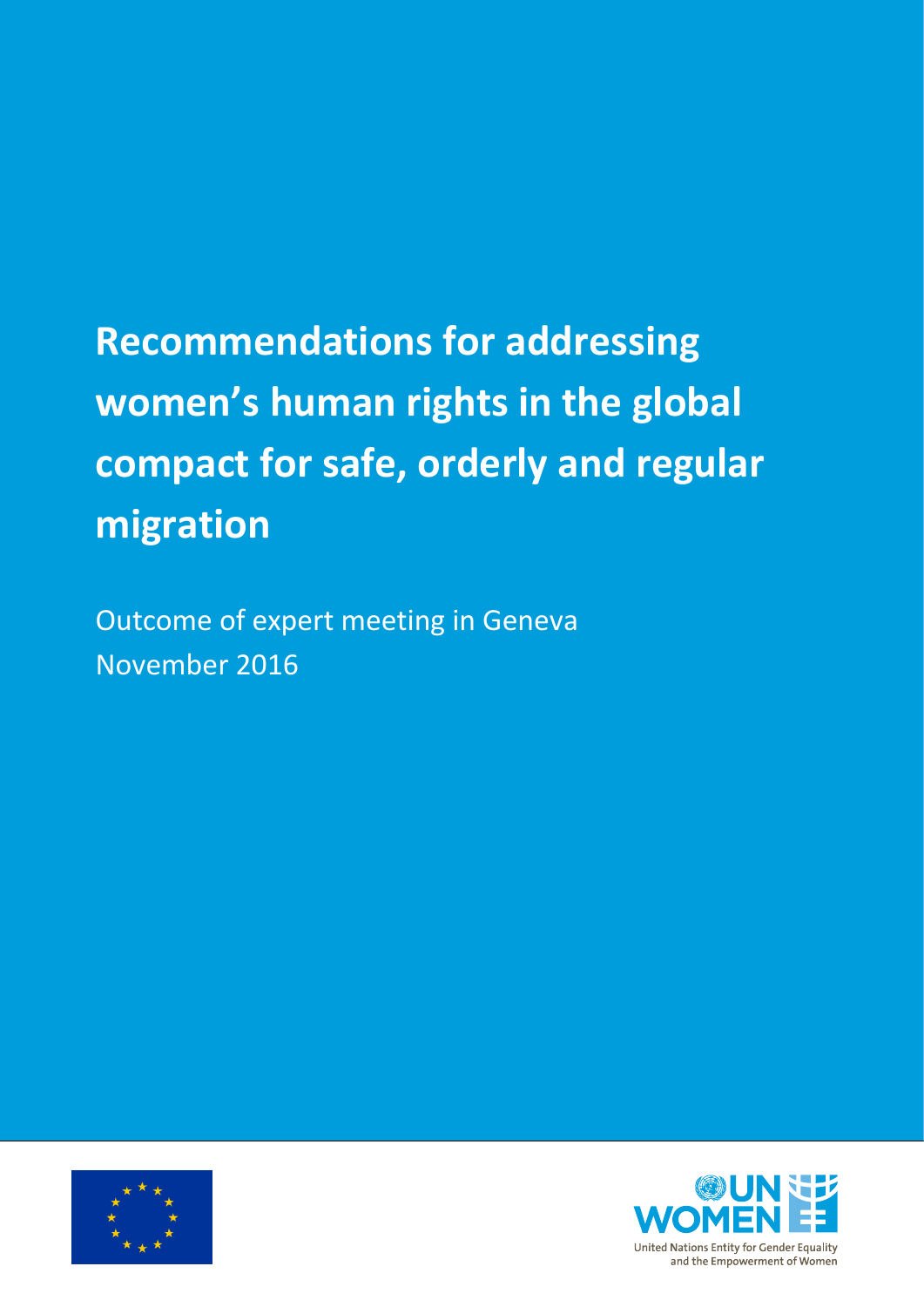# **Recommendations for addressing women's human rights in the global compact for safe, orderly and regular migration**

Outcome of expert meeting in Geneva November 2016



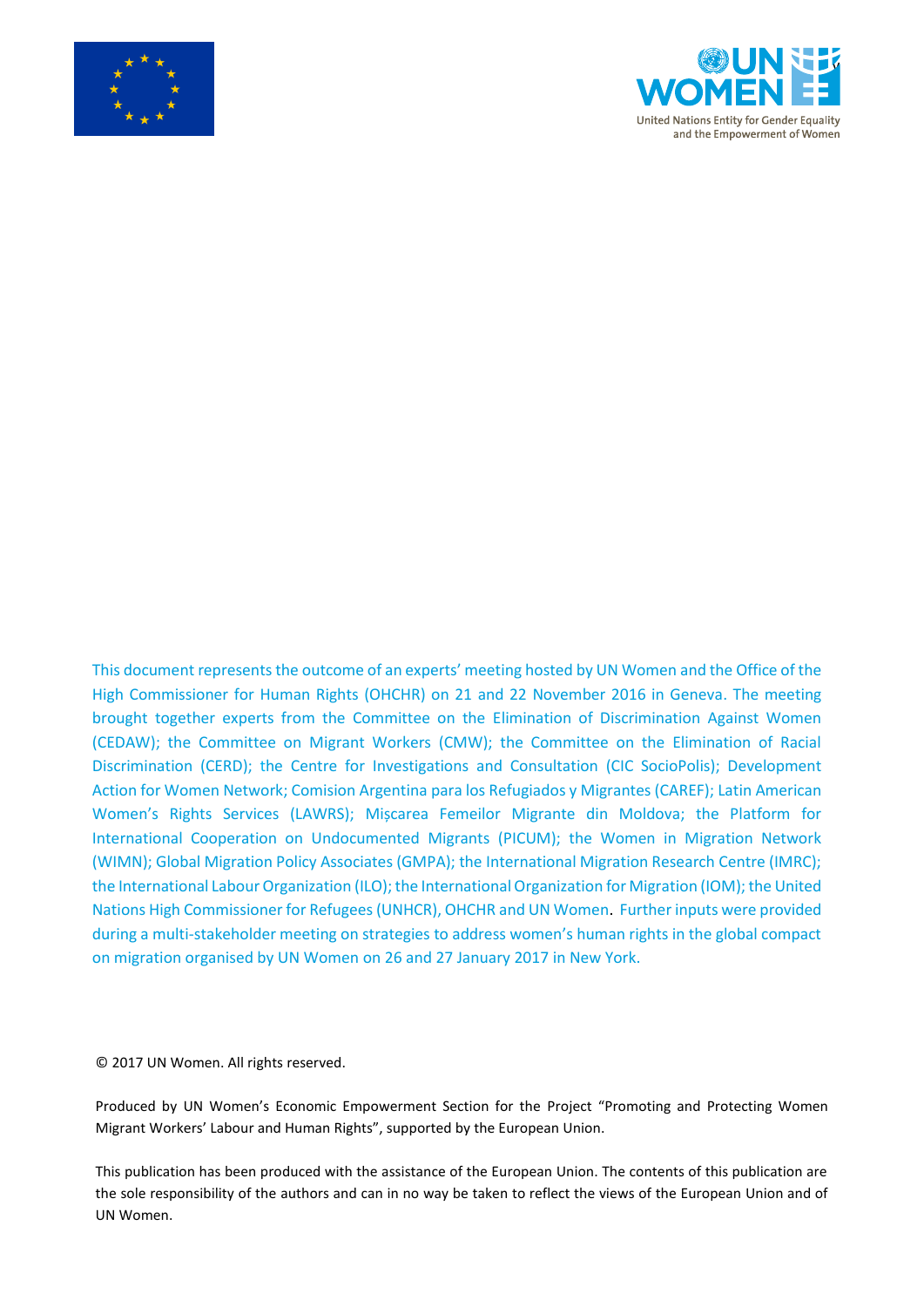



This document represents the outcome of an experts' meeting hosted by UN Women and the Office of the High Commissioner for Human Rights (OHCHR) on 21 and 22 November 2016 in Geneva. The meeting brought together experts from the Committee on the Elimination of Discrimination Against Women (CEDAW); the Committee on Migrant Workers (CMW); the Committee on the Elimination of Racial Discrimination (CERD); the Centre for Investigations and Consultation (CIC SocioPolis); Development Action for Women Network; Comision Argentina para los Refugiados y Migrantes (CAREF); Latin American Women's Rights Services (LAWRS); Mișcarea Femeilor Migrante din Moldova; the Platform for International Cooperation on Undocumented Migrants (PICUM); the Women in Migration Network (WIMN); Global Migration Policy Associates (GMPA); the International Migration Research Centre (IMRC); the International Labour Organization (ILO); the International Organization for Migration (IOM); the United Nations High Commissioner for Refugees (UNHCR), OHCHR and UN Women. Further inputs were provided during a multi-stakeholder meeting on strategies to address women's human rights in the global compact on migration organised by UN Women on 26 and 27 January 2017 in New York.

© 2017 UN Women. All rights reserved.

Produced by UN Women's Economic Empowerment Section for the Project "Promoting and Protecting Women Migrant Workers' Labour and Human Rights", supported by the European Union.

This publication has been produced with the assistance of the European Union. The contents of this publication are the sole responsibility of the authors and can in no way be taken to reflect the views of the European Union and of UN Women.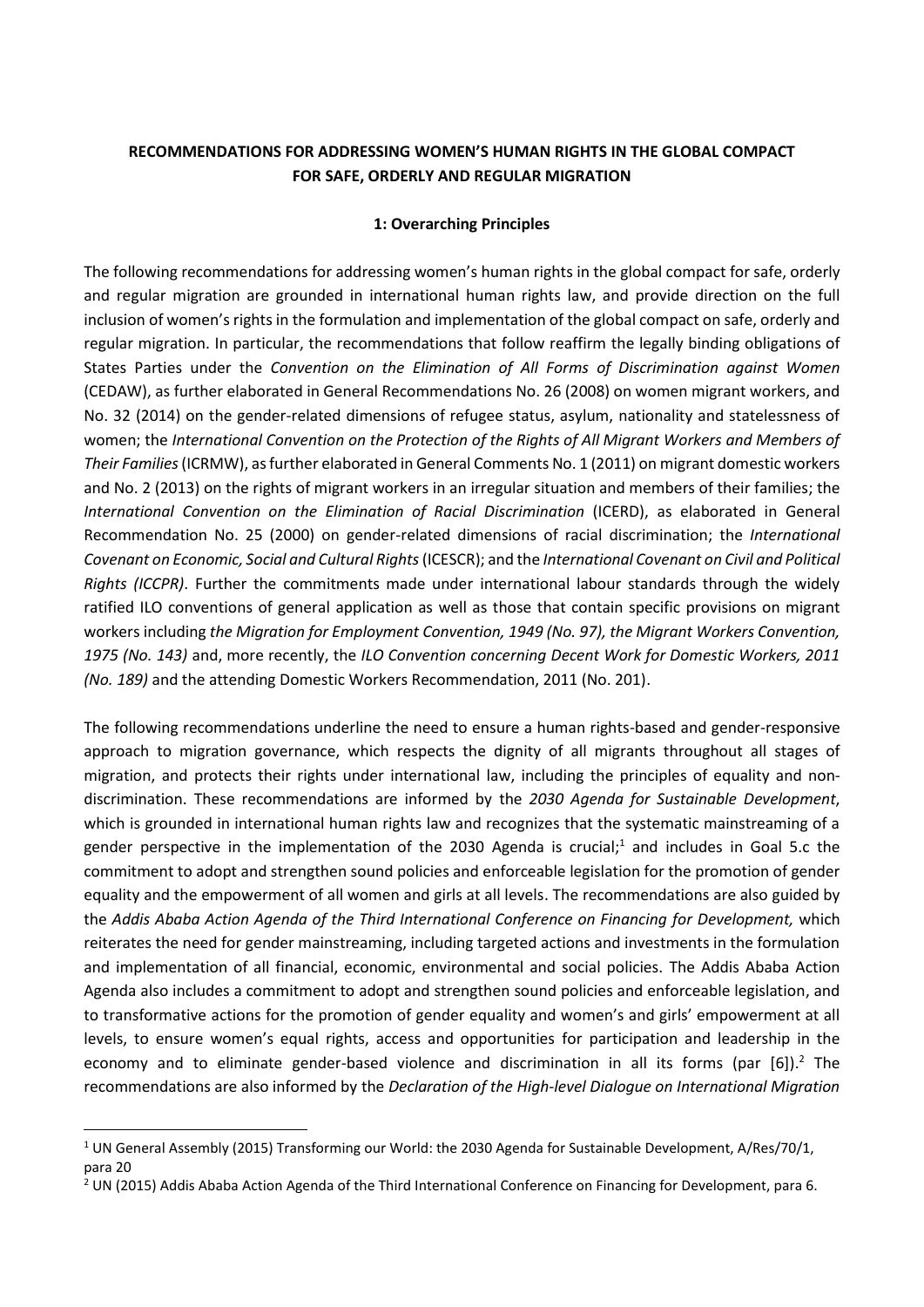## **RECOMMENDATIONS FOR ADDRESSING WOMEN'S HUMAN RIGHTS IN THE GLOBAL COMPACT FOR SAFE, ORDERLY AND REGULAR MIGRATION**

#### **1: Overarching Principles**

The following recommendations for addressing women's human rights in the global compact for safe, orderly and regular migration are grounded in international human rights law, and provide direction on the full inclusion of women's rights in the formulation and implementation of the global compact on safe, orderly and regular migration. In particular, the recommendations that follow reaffirm the legally binding obligations of States Parties under the *Convention on the Elimination of All Forms of Discrimination against Women* (CEDAW), as further elaborated in General Recommendations No. 26 (2008) on women migrant workers, and No. 32 (2014) on the gender-related dimensions of refugee status, asylum, nationality and statelessness of women; the *International Convention on the Protection of the Rights of All Migrant Workers and Members of Their Families*(ICRMW), as further elaborated in General Comments No. 1 (2011) on migrant domestic workers and No. 2 (2013) on the rights of migrant workers in an irregular situation and members of their families; the *International Convention on the Elimination of Racial Discrimination* (ICERD), as elaborated in General Recommendation No. 25 (2000) on gender-related dimensions of racial discrimination; the *International Covenant on Economic, Social and Cultural Rights* (ICESCR); and the *International Covenant on Civil and Political Rights (ICCPR)*. Further the commitments made under international labour standards through the widely ratified ILO conventions of general application as well as those that contain specific provisions on migrant workers including *the Migration for Employment Convention, 1949 (No. 97), the Migrant Workers Convention, 1975 (No. 143)* and, more recently, the *ILO Convention concerning Decent Work for Domestic Workers, 2011 (No. 189)* and the attending Domestic Workers Recommendation, 2011 (No. 201).

The following recommendations underline the need to ensure a human rights-based and gender-responsive approach to migration governance, which respects the dignity of all migrants throughout all stages of migration, and protects their rights under international law, including the principles of equality and nondiscrimination. These recommendations are informed by the *2030 Agenda for Sustainable Development*, which is grounded in international human rights law and recognizes that the systematic mainstreaming of a gender perspective in the implementation of the 2030 Agenda is crucial; <sup>1</sup> and includes in Goal 5.c the commitment to adopt and strengthen sound policies and enforceable legislation for the promotion of gender equality and the empowerment of all women and girls at all levels. The recommendations are also guided by the *Addis Ababa Action Agenda of the Third International Conference on Financing for Development,* which reiterates the need for gender mainstreaming, including targeted actions and investments in the formulation and implementation of all financial, economic, environmental and social policies. The Addis Ababa Action Agenda also includes a commitment to adopt and strengthen sound policies and enforceable legislation, and to transformative actions for the promotion of gender equality and women's and girls' empowerment at all levels, to ensure women's equal rights, access and opportunities for participation and leadership in the economy and to eliminate gender-based violence and discrimination in all its forms (par [6]).<sup>2</sup> The recommendations are also informed by the *Declaration of the High-level Dialogue on International Migration* 

**.** 

<sup>1</sup> UN General Assembly (2015) Transforming our World: the 2030 Agenda for Sustainable Development, A/Res/70/1, para 20

<sup>2</sup> UN (2015) Addis Ababa Action Agenda of the Third International Conference on Financing for Development, para 6.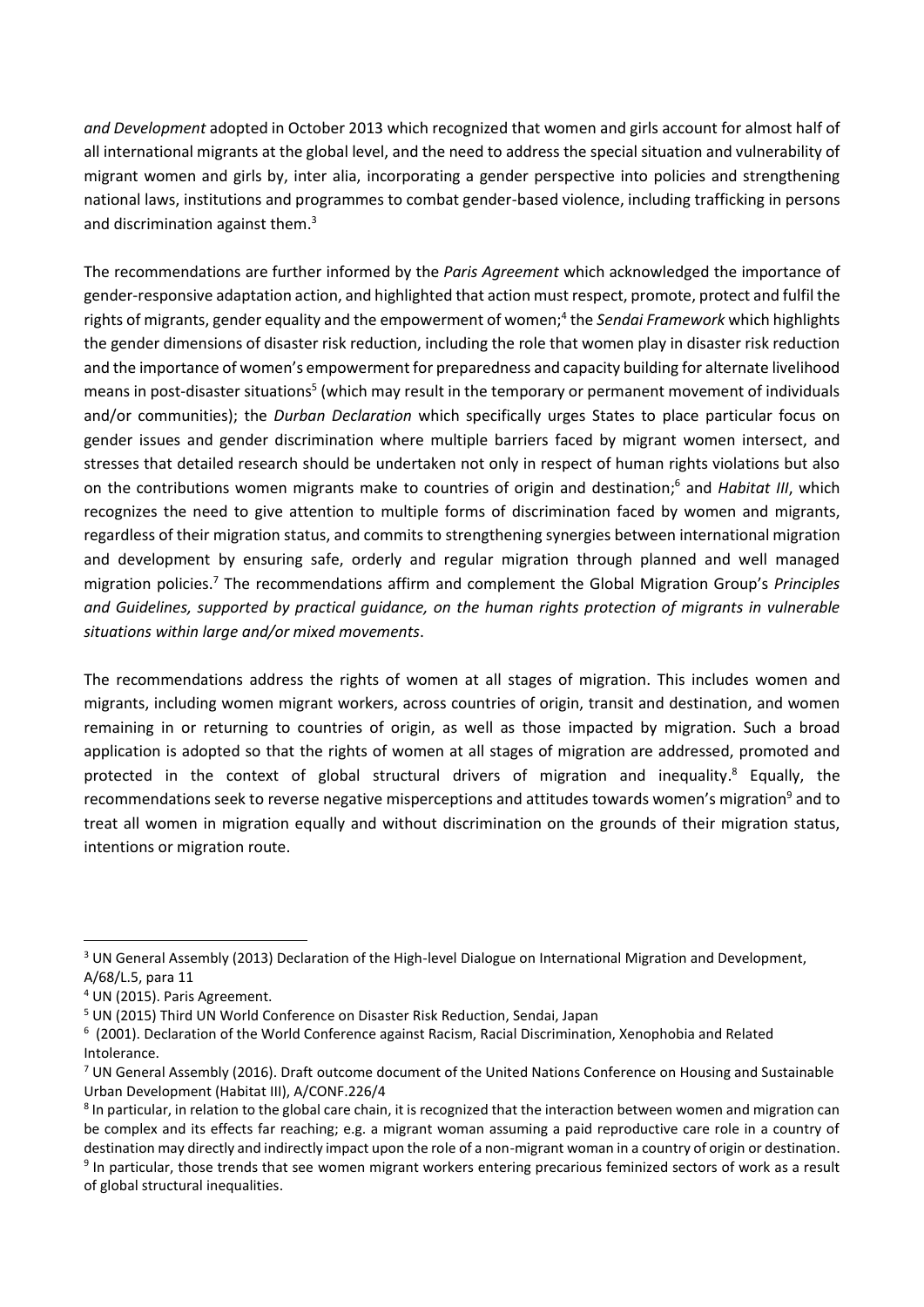*and Development* adopted in October 2013 which recognized that women and girls account for almost half of all international migrants at the global level, and the need to address the special situation and vulnerability of migrant women and girls by, inter alia, incorporating a gender perspective into policies and strengthening national laws, institutions and programmes to combat gender-based violence, including trafficking in persons and discrimination against them.<sup>3</sup>

The recommendations are further informed by the *Paris Agreement* which acknowledged the importance of gender-responsive adaptation action, and highlighted that action must respect, promote, protect and fulfil the rights of migrants, gender equality and the empowerment of women;<sup>4</sup> the Sendai Framework which highlights the gender dimensions of disaster risk reduction, including the role that women play in disaster risk reduction and the importance of women's empowerment for preparedness and capacity building for alternate livelihood means in post-disaster situations<sup>5</sup> (which may result in the temporary or permanent movement of individuals and/or communities); the *Durban Declaration* which specifically urges States to place particular focus on gender issues and gender discrimination where multiple barriers faced by migrant women intersect, and stresses that detailed research should be undertaken not only in respect of human rights violations but also on the contributions women migrants make to countries of origin and destination; <sup>6</sup> and *Habitat III*, which recognizes the need to give attention to multiple forms of discrimination faced by women and migrants, regardless of their migration status, and commits to strengthening synergies between international migration and development by ensuring safe, orderly and regular migration through planned and well managed migration policies.<sup>7</sup> The recommendations affirm and complement the Global Migration Group's *Principles and Guidelines, supported by practical guidance, on the human rights protection of migrants in vulnerable situations within large and/or mixed movements*.

The recommendations address the rights of women at all stages of migration. This includes women and migrants, including women migrant workers, across countries of origin, transit and destination, and women remaining in or returning to countries of origin, as well as those impacted by migration. Such a broad application is adopted so that the rights of women at all stages of migration are addressed, promoted and protected in the context of global structural drivers of migration and inequality.<sup>8</sup> Equally, the recommendations seek to reverse negative misperceptions and attitudes towards women's migration<sup>9</sup> and to treat all women in migration equally and without discrimination on the grounds of their migration status, intentions or migration route.

1

<sup>&</sup>lt;sup>3</sup> UN General Assembly (2013) Declaration of the High-level Dialogue on International Migration and Development, A/68/L.5, para 11

<sup>4</sup> UN (2015). Paris Agreement.

<sup>5</sup> UN (2015) Third UN World Conference on Disaster Risk Reduction, Sendai, Japan

<sup>6</sup> (2001). Declaration of the World Conference against Racism, Racial Discrimination, Xenophobia and Related Intolerance.

 $7$  UN General Assembly (2016). Draft outcome document of the United Nations Conference on Housing and Sustainable Urban Development (Habitat III), A/CONF.226/4

<sup>&</sup>lt;sup>8</sup> In particular, in relation to the global care chain, it is recognized that the interaction between women and migration can be complex and its effects far reaching; e.g. a migrant woman assuming a paid reproductive care role in a country of destination may directly and indirectly impact upon the role of a non-migrant woman in a country of origin or destination. <sup>9</sup> In particular, those trends that see women migrant workers entering precarious feminized sectors of work as a result of global structural inequalities.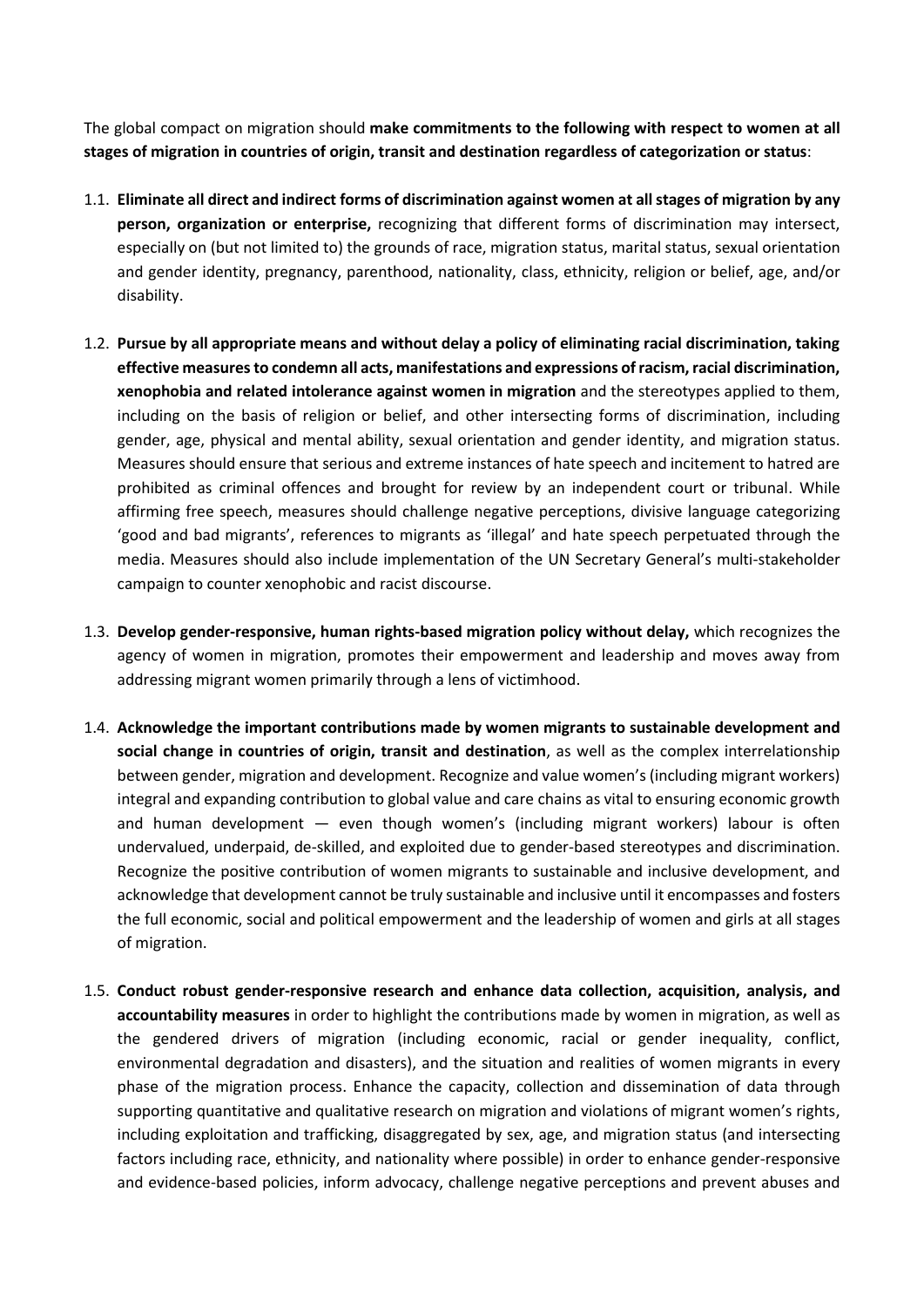The global compact on migration should **make commitments to the following with respect to women at all stages of migration in countries of origin, transit and destination regardless of categorization or status**:

- 1.1. **Eliminate all direct and indirect forms of discrimination against women at all stages of migration by any person, organization or enterprise,** recognizing that different forms of discrimination may intersect, especially on (but not limited to) the grounds of race, migration status, marital status, sexual orientation and gender identity, pregnancy, parenthood, nationality, class, ethnicity, religion or belief, age, and/or disability.
- 1.2. **Pursue by all appropriate means and without delay a policy of eliminating racial discrimination, taking effective measures to condemn all acts, manifestations and expressions of racism, racial discrimination, xenophobia and related intolerance against women in migration** and the stereotypes applied to them, including on the basis of religion or belief, and other intersecting forms of discrimination, including gender, age, physical and mental ability, sexual orientation and gender identity, and migration status. Measures should ensure that serious and extreme instances of hate speech and incitement to hatred are prohibited as criminal offences and brought for review by an independent court or tribunal. While affirming free speech, measures should challenge negative perceptions, divisive language categorizing 'good and bad migrants', references to migrants as 'illegal' and hate speech perpetuated through the media. Measures should also include implementation of the UN Secretary General's multi-stakeholder campaign to counter xenophobic and racist discourse.
- 1.3. **Develop gender-responsive, human rights-based migration policy without delay,** which recognizes the agency of women in migration, promotes their empowerment and leadership and moves away from addressing migrant women primarily through a lens of victimhood.
- 1.4. **Acknowledge the important contributions made by women migrants to sustainable development and social change in countries of origin, transit and destination**, as well as the complex interrelationship between gender, migration and development. Recognize and value women's (including migrant workers) integral and expanding contribution to global value and care chains as vital to ensuring economic growth and human development — even though women's (including migrant workers) labour is often undervalued, underpaid, de-skilled, and exploited due to gender-based stereotypes and discrimination. Recognize the positive contribution of women migrants to sustainable and inclusive development, and acknowledge that development cannot be truly sustainable and inclusive until it encompasses and fosters the full economic, social and political empowerment and the leadership of women and girls at all stages of migration.
- 1.5. **Conduct robust gender-responsive research and enhance data collection, acquisition, analysis, and accountability measures** in order to highlight the contributions made by women in migration, as well as the gendered drivers of migration (including economic, racial or gender inequality, conflict, environmental degradation and disasters), and the situation and realities of women migrants in every phase of the migration process. Enhance the capacity, collection and dissemination of data through supporting quantitative and qualitative research on migration and violations of migrant women's rights, including exploitation and trafficking, disaggregated by sex, age, and migration status (and intersecting factors including race, ethnicity, and nationality where possible) in order to enhance gender-responsive and evidence-based policies, inform advocacy, challenge negative perceptions and prevent abuses and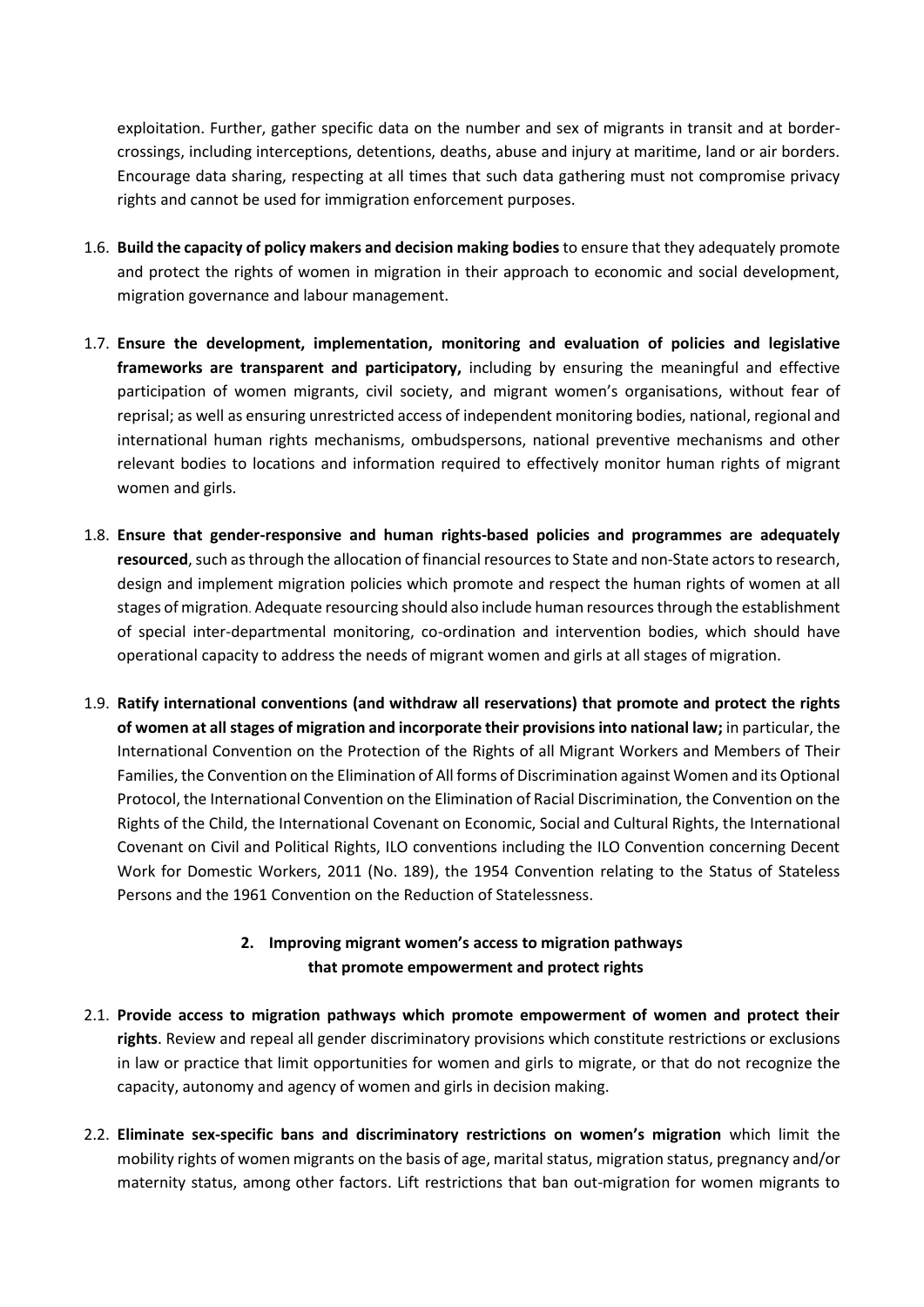exploitation. Further, gather specific data on the number and sex of migrants in transit and at bordercrossings, including interceptions, detentions, deaths, abuse and injury at maritime, land or air borders. Encourage data sharing, respecting at all times that such data gathering must not compromise privacy rights and cannot be used for immigration enforcement purposes.

- 1.6. **Build the capacity of policy makers and decision making bodies** to ensure that they adequately promote and protect the rights of women in migration in their approach to economic and social development, migration governance and labour management.
- 1.7. **Ensure the development, implementation, monitoring and evaluation of policies and legislative frameworks are transparent and participatory,** including by ensuring the meaningful and effective participation of women migrants, civil society, and migrant women's organisations, without fear of reprisal; as well as ensuring unrestricted access of independent monitoring bodies, national, regional and international human rights mechanisms, ombudspersons, national preventive mechanisms and other relevant bodies to locations and information required to effectively monitor human rights of migrant women and girls.
- 1.8. **Ensure that gender-responsive and human rights-based policies and programmes are adequately resourced**, such as through the allocation of financial resources to State and non-State actors to research, design and implement migration policies which promote and respect the human rights of women at all stages of migration. Adequate resourcing should also include human resources through the establishment of special inter-departmental monitoring, co-ordination and intervention bodies, which should have operational capacity to address the needs of migrant women and girls at all stages of migration.
- 1.9. **Ratify international conventions (and withdraw all reservations) that promote and protect the rights of women at all stages of migration and incorporate their provisions into national law;** in particular, the International Convention on the Protection of the Rights of all Migrant Workers and Members of Their Families, the Convention on the Elimination of All forms of Discrimination against Women and its Optional Protocol, the International Convention on the Elimination of Racial Discrimination, the Convention on the Rights of the Child, the International Covenant on Economic, Social and Cultural Rights, the International Covenant on Civil and Political Rights, ILO conventions including the ILO Convention concerning Decent Work for Domestic Workers, 2011 (No. 189), the 1954 Convention relating to the Status of Stateless Persons and the 1961 Convention on the Reduction of Statelessness.

## **2. Improving migrant women's access to migration pathways that promote empowerment and protect rights**

- 2.1. **Provide access to migration pathways which promote empowerment of women and protect their rights**. Review and repeal all gender discriminatory provisions which constitute restrictions or exclusions in law or practice that limit opportunities for women and girls to migrate, or that do not recognize the capacity, autonomy and agency of women and girls in decision making.
- 2.2. **Eliminate sex-specific bans and discriminatory restrictions on women's migration** which limit the mobility rights of women migrants on the basis of age, marital status, migration status, pregnancy and/or maternity status, among other factors. Lift restrictions that ban out-migration for women migrants to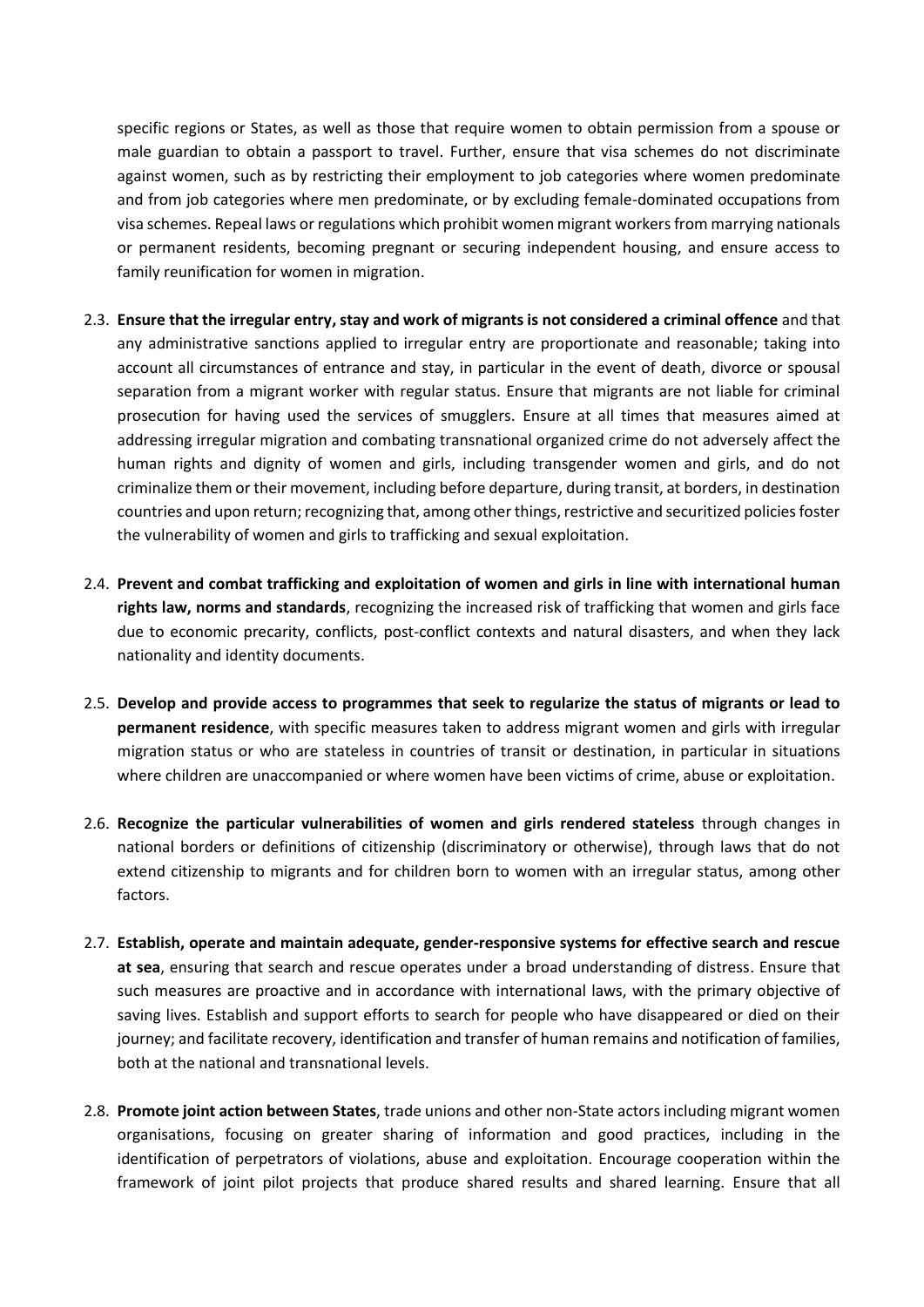specific regions or States, as well as those that require women to obtain permission from a spouse or male guardian to obtain a passport to travel. Further, ensure that visa schemes do not discriminate against women, such as by restricting their employment to job categories where women predominate and from job categories where men predominate, or by excluding female-dominated occupations from visa schemes. Repeal laws or regulations which prohibit women migrant workers from marrying nationals or permanent residents, becoming pregnant or securing independent housing, and ensure access to family reunification for women in migration.

- 2.3. **Ensure that the irregular entry, stay and work of migrants is not considered a criminal offence** and that any administrative sanctions applied to irregular entry are proportionate and reasonable; taking into account all circumstances of entrance and stay, in particular in the event of death, divorce or spousal separation from a migrant worker with regular status. Ensure that migrants are not liable for criminal prosecution for having used the services of smugglers. Ensure at all times that measures aimed at addressing irregular migration and combating transnational organized crime do not adversely affect the human rights and dignity of women and girls, including transgender women and girls, and do not criminalize them or their movement, including before departure, during transit, at borders, in destination countries and upon return; recognizing that, among other things, restrictive and securitized policies foster the vulnerability of women and girls to trafficking and sexual exploitation.
- 2.4. **Prevent and combat trafficking and exploitation of women and girls in line with international human rights law, norms and standards**, recognizing the increased risk of trafficking that women and girls face due to economic precarity, conflicts, post-conflict contexts and natural disasters, and when they lack nationality and identity documents.
- 2.5. **Develop and provide access to programmes that seek to regularize the status of migrants or lead to permanent residence**, with specific measures taken to address migrant women and girls with irregular migration status or who are stateless in countries of transit or destination, in particular in situations where children are unaccompanied or where women have been victims of crime, abuse or exploitation.
- 2.6. **Recognize the particular vulnerabilities of women and girls rendered stateless** through changes in national borders or definitions of citizenship (discriminatory or otherwise), through laws that do not extend citizenship to migrants and for children born to women with an irregular status, among other factors.
- 2.7. **Establish, operate and maintain adequate, gender-responsive systems for effective search and rescue at sea**, ensuring that search and rescue operates under a broad understanding of distress. Ensure that such measures are proactive and in accordance with international laws, with the primary objective of saving lives. Establish and support efforts to search for people who have disappeared or died on their journey; and facilitate recovery, identification and transfer of human remains and notification of families, both at the national and transnational levels.
- 2.8. **Promote joint action between States**, trade unions and other non-State actors including migrant women organisations, focusing on greater sharing of information and good practices, including in the identification of perpetrators of violations, abuse and exploitation. Encourage cooperation within the framework of joint pilot projects that produce shared results and shared learning. Ensure that all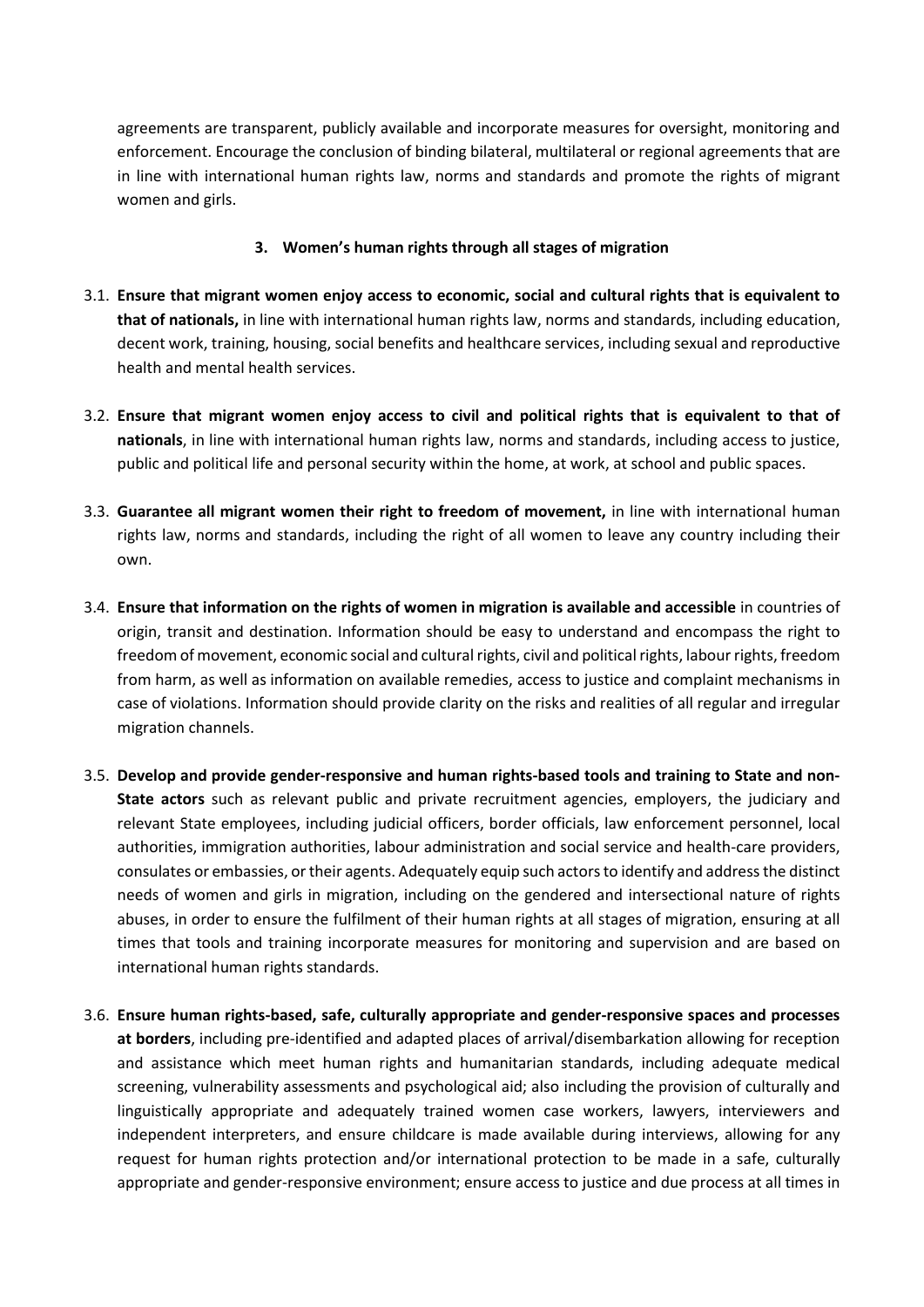agreements are transparent, publicly available and incorporate measures for oversight, monitoring and enforcement. Encourage the conclusion of binding bilateral, multilateral or regional agreements that are in line with international human rights law, norms and standards and promote the rights of migrant women and girls.

### **3. Women's human rights through all stages of migration**

- 3.1. **Ensure that migrant women enjoy access to economic, social and cultural rights that is equivalent to that of nationals,** in line with international human rights law, norms and standards, including education, decent work, training, housing, social benefits and healthcare services, including sexual and reproductive health and mental health services.
- 3.2. **Ensure that migrant women enjoy access to civil and political rights that is equivalent to that of nationals**, in line with international human rights law, norms and standards, including access to justice, public and political life and personal security within the home, at work, at school and public spaces.
- 3.3. **Guarantee all migrant women their right to freedom of movement,** in line with international human rights law, norms and standards, including the right of all women to leave any country including their own.
- 3.4. **Ensure that information on the rights of women in migration is available and accessible** in countries of origin, transit and destination. Information should be easy to understand and encompass the right to freedom of movement, economic social and cultural rights, civil and political rights, labour rights, freedom from harm, as well as information on available remedies, access to justice and complaint mechanisms in case of violations. Information should provide clarity on the risks and realities of all regular and irregular migration channels.
- 3.5. **Develop and provide gender-responsive and human rights-based tools and training to State and non-State actors** such as relevant public and private recruitment agencies, employers, the judiciary and relevant State employees, including judicial officers, border officials, law enforcement personnel, local authorities, immigration authorities, labour administration and social service and health-care providers, consulates or embassies, or their agents. Adequately equip such actors to identify and address the distinct needs of women and girls in migration, including on the gendered and intersectional nature of rights abuses, in order to ensure the fulfilment of their human rights at all stages of migration, ensuring at all times that tools and training incorporate measures for monitoring and supervision and are based on international human rights standards.
- 3.6. **Ensure human rights-based, safe, culturally appropriate and gender-responsive spaces and processes at borders**, including pre-identified and adapted places of arrival/disembarkation allowing for reception and assistance which meet human rights and humanitarian standards, including adequate medical screening, vulnerability assessments and psychological aid; also including the provision of culturally and linguistically appropriate and adequately trained women case workers, lawyers, interviewers and independent interpreters, and ensure childcare is made available during interviews, allowing for any request for human rights protection and/or international protection to be made in a safe, culturally appropriate and gender-responsive environment; ensure access to justice and due process at all times in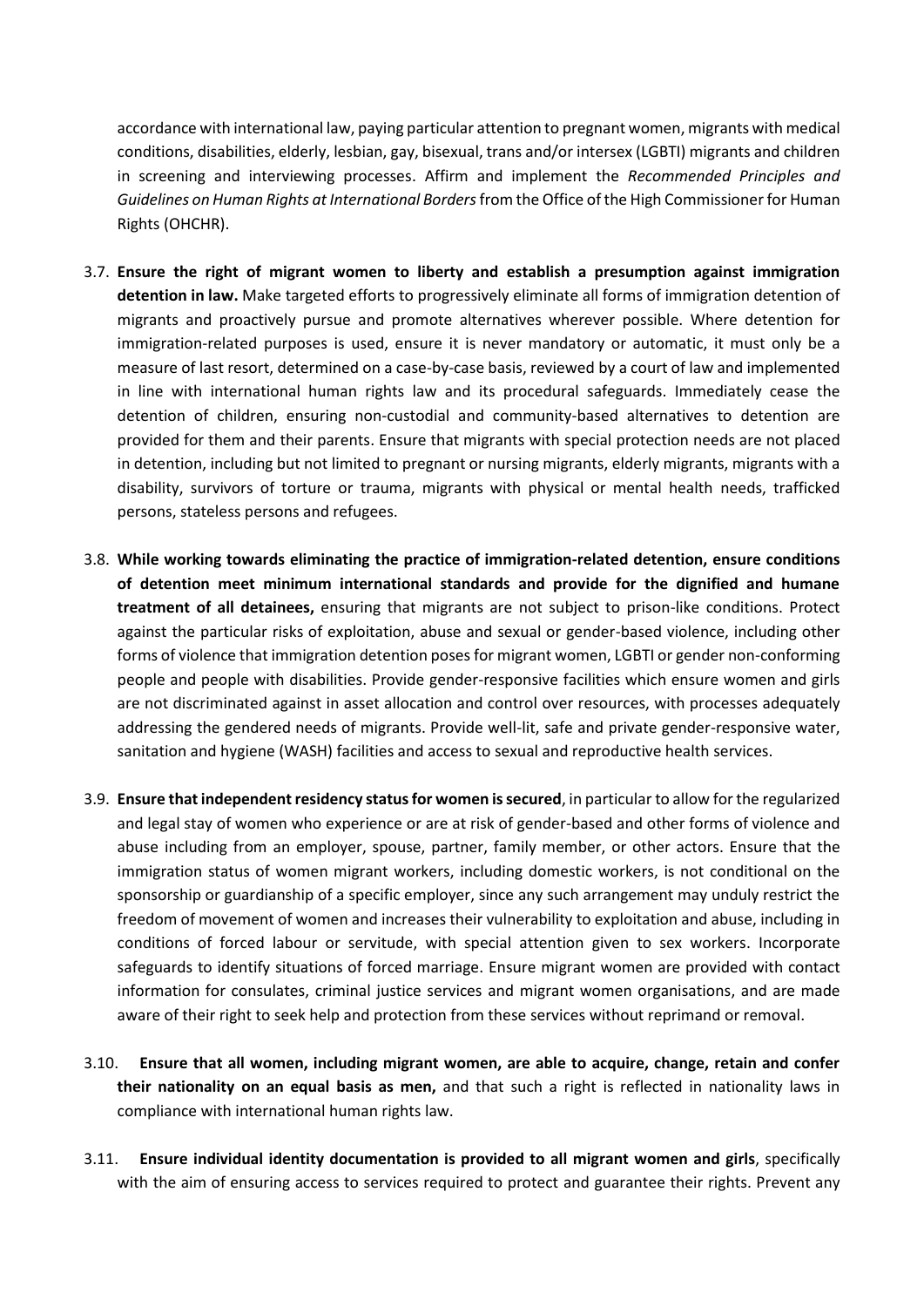accordance with international law, paying particular attention to pregnant women, migrants with medical conditions, disabilities, elderly, lesbian, gay, bisexual, trans and/or intersex (LGBTI) migrants and children in screening and interviewing processes. Affirm and implement the *Recommended Principles and Guidelines on Human Rights at International Borders*from the Office of the High Commissioner for Human Rights (OHCHR).

- 3.7. **Ensure the right of migrant women to liberty and establish a presumption against immigration detention in law.** Make targeted efforts to progressively eliminate all forms of immigration detention of migrants and proactively pursue and promote alternatives wherever possible. Where detention for immigration-related purposes is used, ensure it is never mandatory or automatic, it must only be a measure of last resort, determined on a case-by-case basis, reviewed by a court of law and implemented in line with international human rights law and its procedural safeguards. Immediately cease the detention of children, ensuring non-custodial and community-based alternatives to detention are provided for them and their parents. Ensure that migrants with special protection needs are not placed in detention, including but not limited to pregnant or nursing migrants, elderly migrants, migrants with a disability, survivors of torture or trauma, migrants with physical or mental health needs, trafficked persons, stateless persons and refugees.
- 3.8. **While working towards eliminating the practice of immigration-related detention, ensure conditions of detention meet minimum international standards and provide for the dignified and humane treatment of all detainees,** ensuring that migrants are not subject to prison-like conditions. Protect against the particular risks of exploitation, abuse and sexual or gender-based violence, including other forms of violence that immigration detention poses for migrant women, LGBTI or gender non-conforming people and people with disabilities. Provide gender-responsive facilities which ensure women and girls are not discriminated against in asset allocation and control over resources, with processes adequately addressing the gendered needs of migrants. Provide well-lit, safe and private gender-responsive water, sanitation and hygiene (WASH) facilities and access to sexual and reproductive health services.
- 3.9. **Ensure that independent residency status for women is secured**, in particular to allow for the regularized and legal stay of women who experience or are at risk of gender-based and other forms of violence and abuse including from an employer, spouse, partner, family member, or other actors. Ensure that the immigration status of women migrant workers, including domestic workers, is not conditional on the sponsorship or guardianship of a specific employer, since any such arrangement may unduly restrict the freedom of movement of women and increases their vulnerability to exploitation and abuse, including in conditions of forced labour or servitude, with special attention given to sex workers. Incorporate safeguards to identify situations of forced marriage. Ensure migrant women are provided with contact information for consulates, criminal justice services and migrant women organisations, and are made aware of their right to seek help and protection from these services without reprimand or removal.
- 3.10. **Ensure that all women, including migrant women, are able to acquire, change, retain and confer their nationality on an equal basis as men,** and that such a right is reflected in nationality laws in compliance with international human rights law.
- 3.11. **Ensure individual identity documentation is provided to all migrant women and girls**, specifically with the aim of ensuring access to services required to protect and guarantee their rights. Prevent any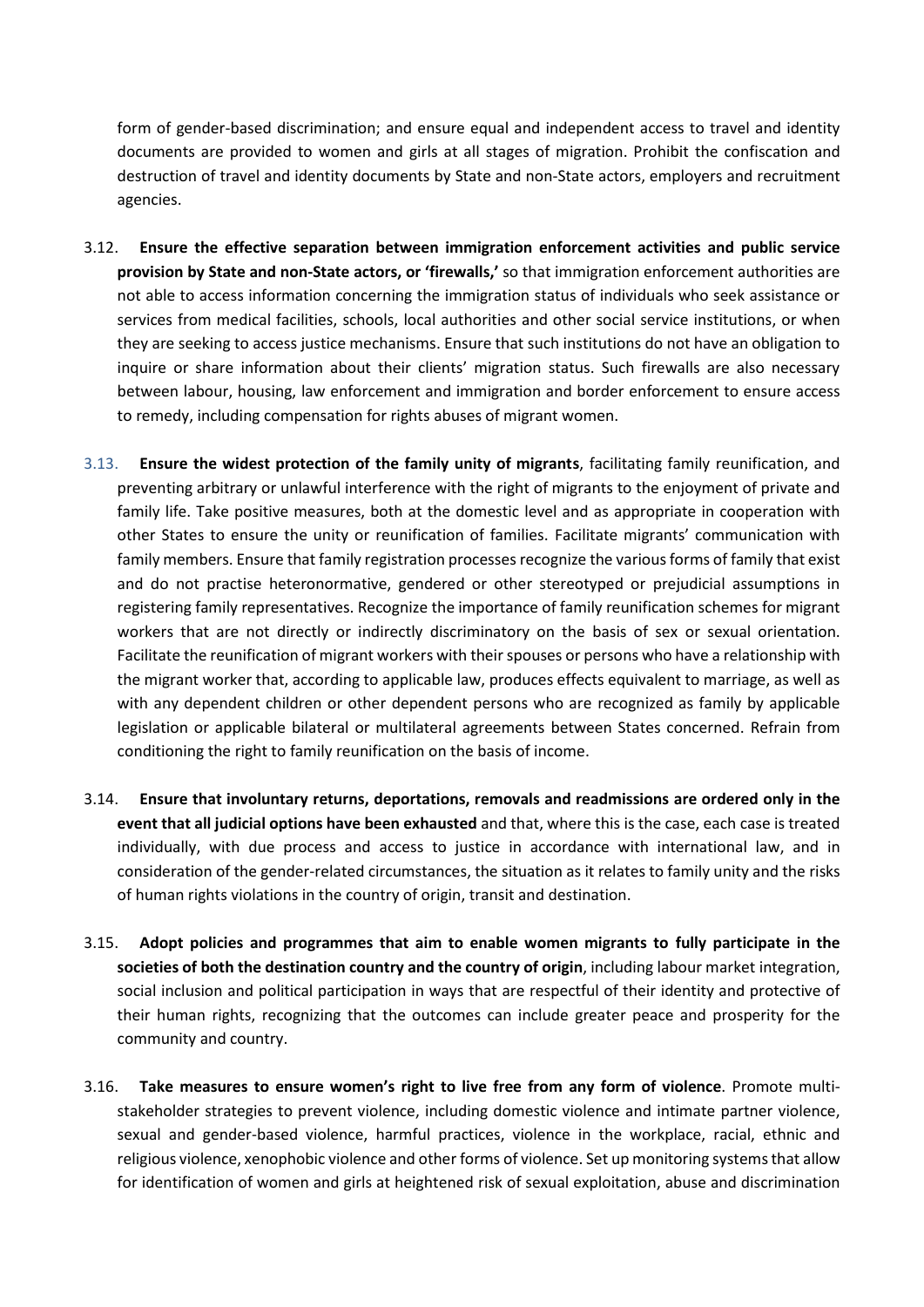form of gender-based discrimination; and ensure equal and independent access to travel and identity documents are provided to women and girls at all stages of migration. Prohibit the confiscation and destruction of travel and identity documents by State and non-State actors, employers and recruitment agencies.

- 3.12. **Ensure the effective separation between immigration enforcement activities and public service provision by State and non-State actors, or 'firewalls,'** so that immigration enforcement authorities are not able to access information concerning the immigration status of individuals who seek assistance or services from medical facilities, schools, local authorities and other social service institutions, or when they are seeking to access justice mechanisms. Ensure that such institutions do not have an obligation to inquire or share information about their clients' migration status. Such firewalls are also necessary between labour, housing, law enforcement and immigration and border enforcement to ensure access to remedy, including compensation for rights abuses of migrant women.
- 3.13. **Ensure the widest protection of the family unity of migrants**, facilitating family reunification, and preventing arbitrary or unlawful interference with the right of migrants to the enjoyment of private and family life. Take positive measures, both at the domestic level and as appropriate in cooperation with other States to ensure the unity or reunification of families. Facilitate migrants' communication with family members. Ensure that family registration processes recognize the various forms of family that exist and do not practise heteronormative, gendered or other stereotyped or prejudicial assumptions in registering family representatives. Recognize the importance of family reunification schemes for migrant workers that are not directly or indirectly discriminatory on the basis of sex or sexual orientation. Facilitate the reunification of migrant workers with their spouses or persons who have a relationship with the migrant worker that, according to applicable law, produces effects equivalent to marriage, as well as with any dependent children or other dependent persons who are recognized as family by applicable legislation or applicable bilateral or multilateral agreements between States concerned. Refrain from conditioning the right to family reunification on the basis of income.
- 3.14. **Ensure that involuntary returns, deportations, removals and readmissions are ordered only in the event that all judicial options have been exhausted** and that, where this is the case, each case is treated individually, with due process and access to justice in accordance with international law, and in consideration of the gender-related circumstances, the situation as it relates to family unity and the risks of human rights violations in the country of origin, transit and destination.
- 3.15. **Adopt policies and programmes that aim to enable women migrants to fully participate in the societies of both the destination country and the country of origin**, including labour market integration, social inclusion and political participation in ways that are respectful of their identity and protective of their human rights, recognizing that the outcomes can include greater peace and prosperity for the community and country.
- 3.16. **Take measures to ensure women's right to live free from any form of violence**. Promote multistakeholder strategies to prevent violence, including domestic violence and intimate partner violence, sexual and gender-based violence, harmful practices, violence in the workplace, racial, ethnic and religious violence, xenophobic violence and other forms of violence. Set up monitoring systems that allow for identification of women and girls at heightened risk of sexual exploitation, abuse and discrimination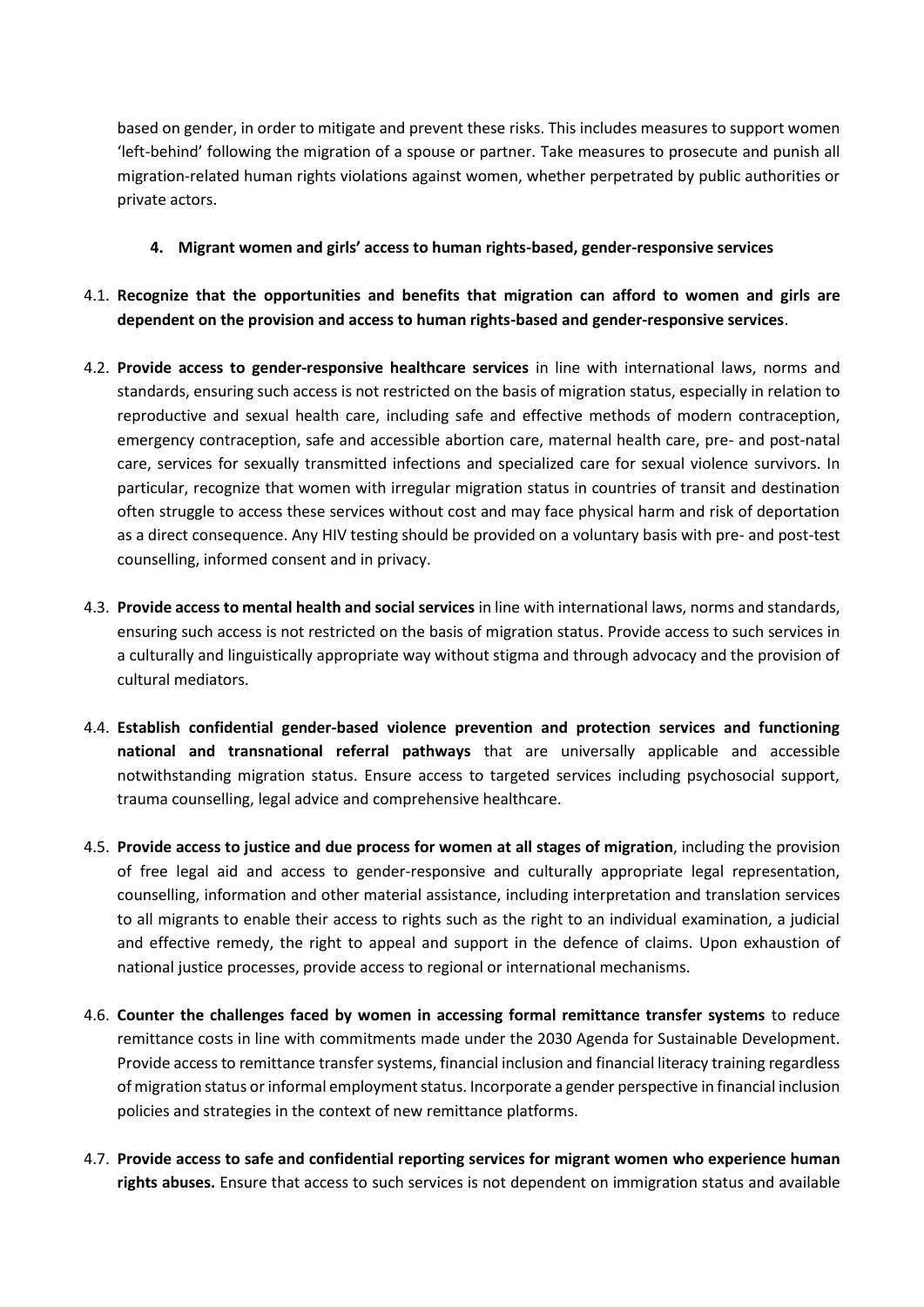based on gender, in order to mitigate and prevent these risks. This includes measures to support women 'left-behind' following the migration of a spouse or partner. Take measures to prosecute and punish all migration-related human rights violations against women, whether perpetrated by public authorities or private actors.

- **4. Migrant women and girls' access to human rights-based, gender-responsive services**
- 4.1. **Recognize that the opportunities and benefits that migration can afford to women and girls are dependent on the provision and access to human rights-based and gender-responsive services**.
- 4.2. **Provide access to gender-responsive healthcare services** in line with international laws, norms and standards, ensuring such access is not restricted on the basis of migration status, especially in relation to reproductive and sexual health care, including safe and effective methods of modern contraception, emergency contraception, safe and accessible abortion care, maternal health care, pre- and post-natal care, services for sexually transmitted infections and specialized care for sexual violence survivors. In particular, recognize that women with irregular migration status in countries of transit and destination often struggle to access these services without cost and may face physical harm and risk of deportation as a direct consequence. Any HIV testing should be provided on a voluntary basis with pre- and post-test counselling, informed consent and in privacy.
- 4.3. **Provide access to mental health and social services** in line with international laws, norms and standards, ensuring such access is not restricted on the basis of migration status. Provide access to such services in a culturally and linguistically appropriate way without stigma and through advocacy and the provision of cultural mediators.
- 4.4. **Establish confidential gender-based violence prevention and protection services and functioning national and transnational referral pathways** that are universally applicable and accessible notwithstanding migration status. Ensure access to targeted services including psychosocial support, trauma counselling, legal advice and comprehensive healthcare.
- 4.5. **Provide access to justice and due process for women at all stages of migration**, including the provision of free legal aid and access to gender-responsive and culturally appropriate legal representation, counselling, information and other material assistance, including interpretation and translation services to all migrants to enable their access to rights such as the right to an individual examination, a judicial and effective remedy, the right to appeal and support in the defence of claims. Upon exhaustion of national justice processes, provide access to regional or international mechanisms.
- 4.6. **Counter the challenges faced by women in accessing formal remittance transfer systems** to reduce remittance costs in line with commitments made under the 2030 Agenda for Sustainable Development. Provide access to remittance transfer systems, financial inclusion and financial literacy training regardless of migration status orinformal employment status. Incorporate a gender perspective in financial inclusion policies and strategies in the context of new remittance platforms.
- 4.7. **Provide access to safe and confidential reporting services for migrant women who experience human rights abuses.** Ensure that access to such services is not dependent on immigration status and available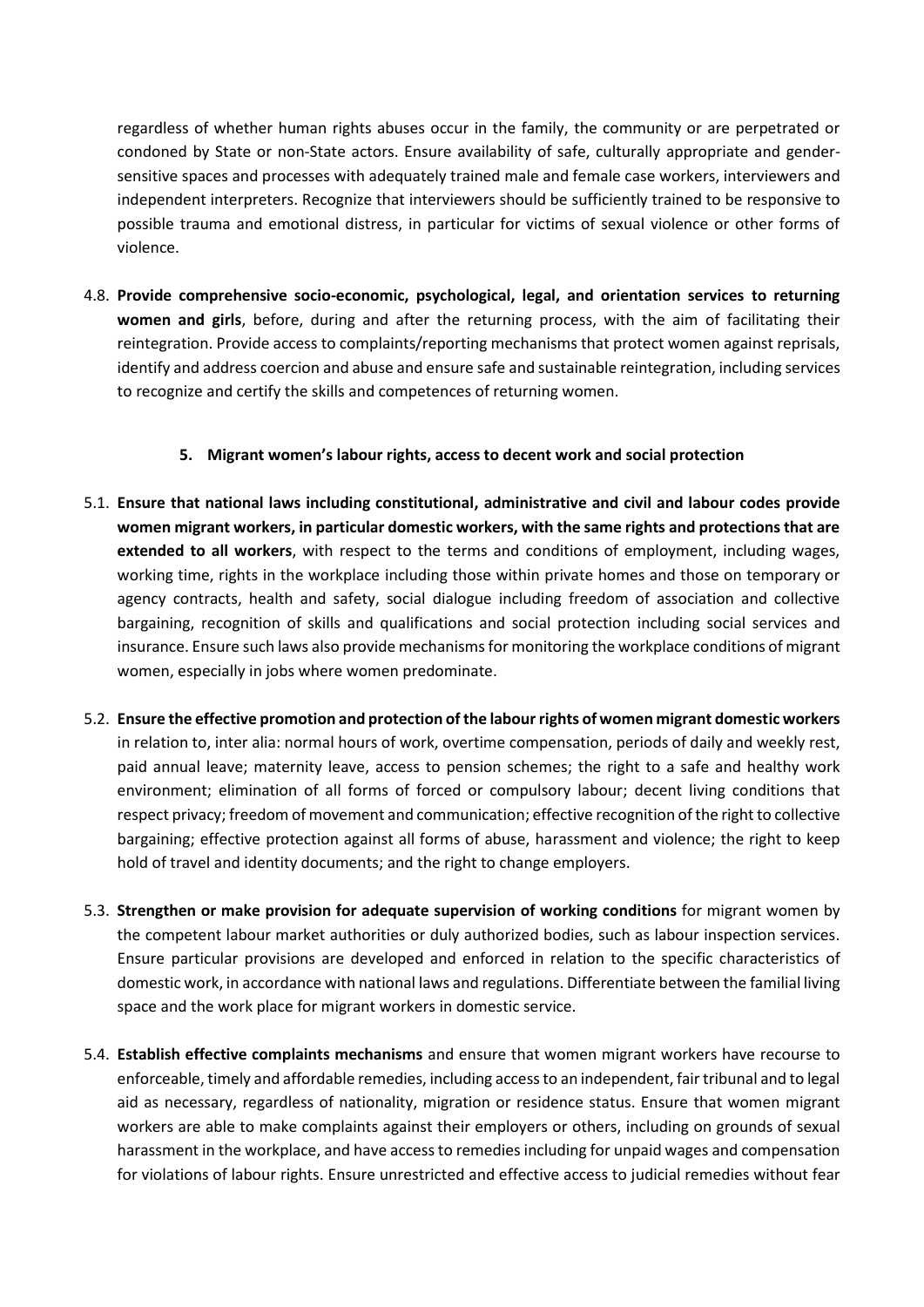regardless of whether human rights abuses occur in the family, the community or are perpetrated or condoned by State or non-State actors. Ensure availability of safe, culturally appropriate and gendersensitive spaces and processes with adequately trained male and female case workers, interviewers and independent interpreters. Recognize that interviewers should be sufficiently trained to be responsive to possible trauma and emotional distress, in particular for victims of sexual violence or other forms of violence.

4.8. **Provide comprehensive socio-economic, psychological, legal, and orientation services to returning women and girls**, before, during and after the returning process, with the aim of facilitating their reintegration. Provide access to complaints/reporting mechanisms that protect women against reprisals, identify and address coercion and abuse and ensure safe and sustainable reintegration, including services to recognize and certify the skills and competences of returning women.

### **5. Migrant women's labour rights, access to decent work and social protection**

- 5.1. **Ensure that national laws including constitutional, administrative and civil and labour codes provide women migrant workers, in particular domestic workers, with the same rights and protections that are extended to all workers**, with respect to the terms and conditions of employment, including wages, working time, rights in the workplace including those within private homes and those on temporary or agency contracts, health and safety, social dialogue including freedom of association and collective bargaining, recognition of skills and qualifications and social protection including social services and insurance. Ensure such laws also provide mechanisms for monitoring the workplace conditions of migrant women, especially in jobs where women predominate.
- 5.2. **Ensure the effective promotion and protection of the labour rights of women migrant domestic workers** in relation to, inter alia: normal hours of work, overtime compensation, periods of daily and weekly rest, paid annual leave; maternity leave, access to pension schemes; the right to a safe and healthy work environment; elimination of all forms of forced or compulsory labour; decent living conditions that respect privacy; freedom of movement and communication; effective recognition of the right to collective bargaining; effective protection against all forms of abuse, harassment and violence; the right to keep hold of travel and identity documents; and the right to change employers.
- 5.3. **Strengthen or make provision for adequate supervision of working conditions** for migrant women by the competent labour market authorities or duly authorized bodies, such as labour inspection services. Ensure particular provisions are developed and enforced in relation to the specific characteristics of domestic work, in accordance with national laws and regulations. Differentiate between the familial living space and the work place for migrant workers in domestic service.
- 5.4. **Establish effective complaints mechanisms** and ensure that women migrant workers have recourse to enforceable, timely and affordable remedies, including access to an independent, fair tribunal and to legal aid as necessary, regardless of nationality, migration or residence status. Ensure that women migrant workers are able to make complaints against their employers or others, including on grounds of sexual harassment in the workplace, and have access to remedies including for unpaid wages and compensation for violations of labour rights. Ensure unrestricted and effective access to judicial remedies without fear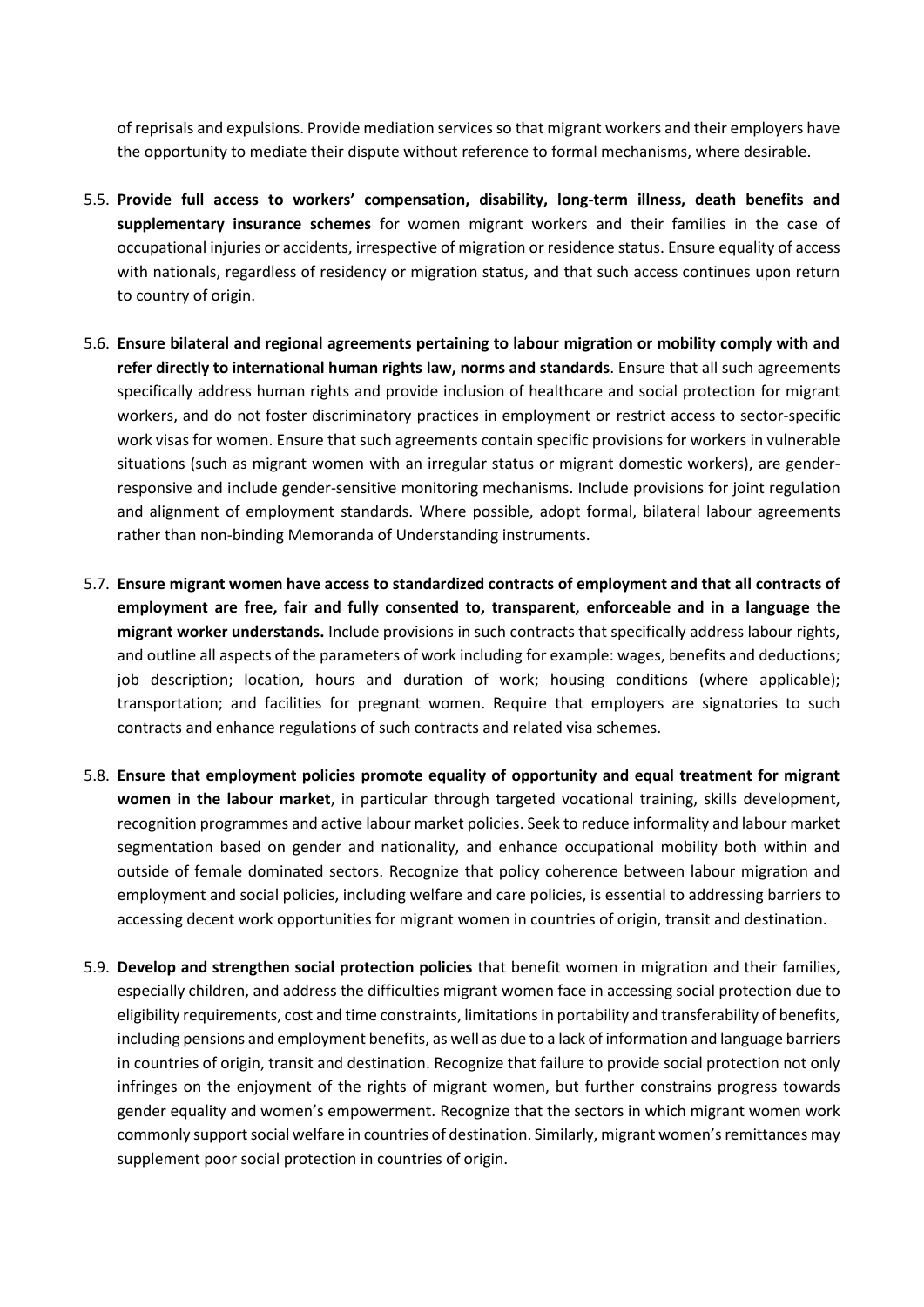of reprisals and expulsions. Provide mediation services so that migrant workers and their employers have the opportunity to mediate their dispute without reference to formal mechanisms, where desirable.

- 5.5. **Provide full access to workers' compensation, disability, long-term illness, death benefits and supplementary insurance schemes** for women migrant workers and their families in the case of occupational injuries or accidents, irrespective of migration or residence status. Ensure equality of access with nationals, regardless of residency or migration status, and that such access continues upon return to country of origin.
- 5.6. **Ensure bilateral and regional agreements pertaining to labour migration or mobility comply with and refer directly to international human rights law, norms and standards**. Ensure that all such agreements specifically address human rights and provide inclusion of healthcare and social protection for migrant workers, and do not foster discriminatory practices in employment or restrict access to sector-specific work visas for women. Ensure that such agreements contain specific provisions for workers in vulnerable situations (such as migrant women with an irregular status or migrant domestic workers), are genderresponsive and include gender-sensitive monitoring mechanisms. Include provisions for joint regulation and alignment of employment standards. Where possible, adopt formal, bilateral labour agreements rather than non-binding Memoranda of Understanding instruments.
- 5.7. **Ensure migrant women have access to standardized contracts of employment and that all contracts of employment are free, fair and fully consented to, transparent, enforceable and in a language the migrant worker understands.** Include provisions in such contracts that specifically address labour rights, and outline all aspects of the parameters of work including for example: wages, benefits and deductions; job description; location, hours and duration of work; housing conditions (where applicable); transportation; and facilities for pregnant women. Require that employers are signatories to such contracts and enhance regulations of such contracts and related visa schemes.
- 5.8. **Ensure that employment policies promote equality of opportunity and equal treatment for migrant women in the labour market**, in particular through targeted vocational training, skills development, recognition programmes and active labour market policies. Seek to reduce informality and labour market segmentation based on gender and nationality, and enhance occupational mobility both within and outside of female dominated sectors. Recognize that policy coherence between labour migration and employment and social policies, including welfare and care policies, is essential to addressing barriers to accessing decent work opportunities for migrant women in countries of origin, transit and destination.
- 5.9. **Develop and strengthen social protection policies** that benefit women in migration and their families, especially children, and address the difficulties migrant women face in accessing social protection due to eligibility requirements, cost and time constraints, limitations in portability and transferability of benefits, including pensions and employment benefits, as well as due to a lack of information and language barriers in countries of origin, transit and destination. Recognize that failure to provide social protection not only infringes on the enjoyment of the rights of migrant women, but further constrains progress towards gender equality and women's empowerment. Recognize that the sectors in which migrant women work commonly support social welfare in countries of destination. Similarly, migrant women's remittances may supplement poor social protection in countries of origin.